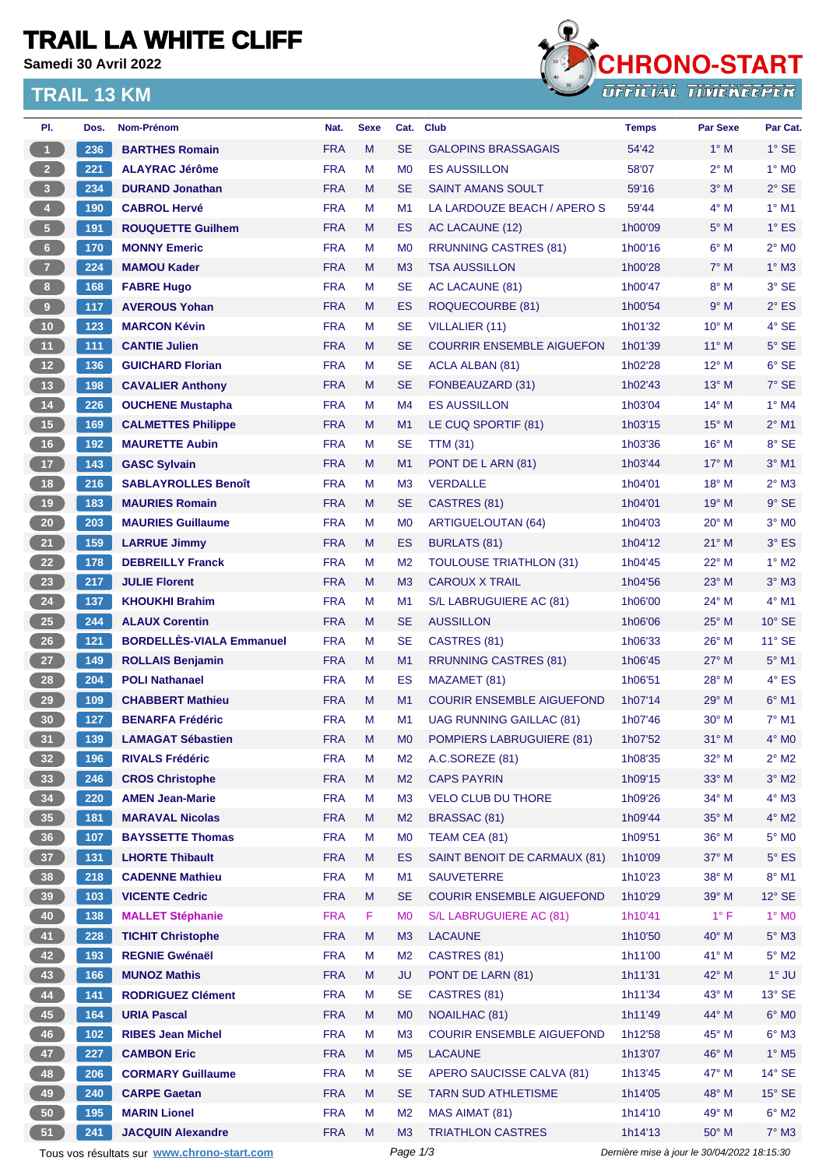# **TRAIL LA WHITE CLIFF**

**Samedi 30 Avril 2022**

### **TRAIL 13 KM**



| PI.                     | Dos.  | <b>Nom-Prénom</b>                           | Nat.       | <b>Sexe</b> | Cat.           | <b>Club</b>                      | <b>Temps</b>                                | <b>Par Sexe</b> | Par Cat.        |
|-------------------------|-------|---------------------------------------------|------------|-------------|----------------|----------------------------------|---------------------------------------------|-----------------|-----------------|
| $\blacktriangleleft$    | 236   | <b>BARTHES Romain</b>                       | <b>FRA</b> | M           | <b>SE</b>      | <b>GALOPINS BRASSAGAIS</b>       | 54'42                                       | $1^\circ$ M     | $1^\circ$ SE    |
| 2 <sup>7</sup>          | 221   | <b>ALAYRAC Jérôme</b>                       | <b>FRA</b> | M           | M <sub>0</sub> | <b>ES AUSSILLON</b>              | 58'07                                       | $2^{\circ}$ M   | $1^\circ$ MO    |
| $\overline{\mathbf{3}}$ | 234   | <b>DURAND Jonathan</b>                      | <b>FRA</b> | M           | <b>SE</b>      | <b>SAINT AMANS SOULT</b>         | 59'16                                       | $3^\circ$ M     | $2°$ SE         |
| $\overline{4}$          | 190   | <b>CABROL Hervé</b>                         | <b>FRA</b> | М           | M1             | LA LARDOUZE BEACH / APERO S      | 59'44                                       | $4^\circ$ M     | $1^\circ$ M1    |
| $\sqrt{5}$              | 191   | <b>ROUQUETTE Guilhem</b>                    | <b>FRA</b> | M           | ES             | AC LACAUNE (12)                  | 1h00'09                                     | $5^\circ$ M     | $1^\circ$ ES    |
| $6\phantom{.}6$         | 170   | <b>MONNY Emeric</b>                         | <b>FRA</b> | M           | M <sub>0</sub> | <b>RRUNNING CASTRES (81)</b>     | 1h00'16                                     | $6^\circ$ M     | $2^{\circ}$ MO  |
| $\overline{7}$          | 224   | <b>MAMOU Kader</b>                          | <b>FRA</b> | M           | M <sub>3</sub> | <b>TSA AUSSILLON</b>             | 1h00'28                                     | $7^\circ$ M     | $1^\circ$ M3    |
| $\boldsymbol{8}$        | 168   | <b>FABRE Hugo</b>                           | <b>FRA</b> | M           | <b>SE</b>      | AC LACAUNE (81)                  | 1h00'47                                     | $8^\circ$ M     | 3° SE           |
| 9                       | 117   | <b>AVEROUS Yohan</b>                        | <b>FRA</b> | M           | <b>ES</b>      | ROQUECOURBE (81)                 | 1h00'54                                     | 9° M            | $2^{\circ}$ ES  |
| $10$                    | 123   | <b>MARCON Kévin</b>                         | <b>FRA</b> | М           | <b>SE</b>      | <b>VILLALIER (11)</b>            | 1h01'32                                     | 10° M           | 4° SE           |
| 11                      | 111   | <b>CANTIE Julien</b>                        | <b>FRA</b> | M           | <b>SE</b>      | <b>COURRIR ENSEMBLE AIGUEFON</b> | 1h01'39                                     | $11^{\circ}$ M  | $5^\circ$ SE    |
| 12 <sup>°</sup>         | 136   | <b>GUICHARD Florian</b>                     | <b>FRA</b> | М           | <b>SE</b>      | ACLA ALBAN (81)                  | 1h02'28                                     | $12^{\circ}$ M  | $6^\circ$ SE    |
| 13                      | 198   | <b>CAVALIER Anthony</b>                     | <b>FRA</b> | M           | <b>SE</b>      | FONBEAUZARD (31)                 | 1h02'43                                     | 13° M           | $7^\circ$ SE    |
| $14$                    | 226   | <b>OUCHENE Mustapha</b>                     | <b>FRA</b> | М           | M4             | <b>ES AUSSILLON</b>              | 1h03'04                                     | $14^{\circ}$ M  | $1^\circ$ M4    |
| 15                      | 169   | <b>CALMETTES Philippe</b>                   | <b>FRA</b> | M           | M <sub>1</sub> | LE CUQ SPORTIF (81)              | 1h03'15                                     | $15^{\circ}$ M  | $2^{\circ}$ M1  |
| $16$                    | 192   | <b>MAURETTE Aubin</b>                       | <b>FRA</b> | М           | <b>SE</b>      | <b>TTM (31)</b>                  | 1h03'36                                     | 16° M           | 8° SE           |
| 17                      | 143   | <b>GASC Sylvain</b>                         | <b>FRA</b> | M           | M1             | PONT DE L ARN (81)               | 1h03'44                                     | $17^{\circ}$ M  | $3°$ M1         |
| 18                      | 216   | <b>SABLAYROLLES Benoît</b>                  | <b>FRA</b> | М           | M <sub>3</sub> | <b>VERDALLE</b>                  | 1h04'01                                     | 18° M           | $2^{\circ}$ M3  |
| 19                      | 183   | <b>MAURIES Romain</b>                       | <b>FRA</b> | M           | <b>SE</b>      | CASTRES (81)                     | 1h04'01                                     | 19° M           | $9°$ SE         |
| $20\phantom{a}$         | 203   | <b>MAURIES Guillaume</b>                    | <b>FRA</b> | М           | M <sub>0</sub> | ARTIGUELOUTAN (64)               | 1h04'03                                     | 20° M           | $3°$ MO         |
| 21                      | 159   | <b>LARRUE Jimmy</b>                         | <b>FRA</b> | M           | ES             | <b>BURLATS (81)</b>              | 1h04'12                                     | $21^{\circ}$ M  | $3°$ ES         |
|                         |       |                                             |            |             |                |                                  |                                             |                 |                 |
| 22                      | 178   | <b>DEBREILLY Franck</b>                     | <b>FRA</b> | M           | M <sub>2</sub> | <b>TOULOUSE TRIATHLON (31)</b>   | 1h04'45                                     | 22° M           | $1^\circ$ M2    |
| 23                      | 217   | <b>JULIE Florent</b>                        | <b>FRA</b> | M           | M <sub>3</sub> | <b>CAROUX X TRAIL</b>            | 1h04'56                                     | $23^\circ$ M    | $3°$ M $3$      |
| 24                      | 137   | <b>KHOUKHI Brahim</b>                       | <b>FRA</b> | M           | M1             | S/L LABRUGUIERE AC (81)          | 1h06'00                                     | 24° M           | 4° M1           |
| 25                      | 244   | <b>ALAUX Corentin</b>                       | <b>FRA</b> | M           | <b>SE</b>      | <b>AUSSILLON</b>                 | 1h06'06                                     | 25° M           | $10^{\circ}$ SE |
| $26\phantom{.}$         | 121   | <b>BORDELLÈS-VIALA Emmanuel</b>             | <b>FRA</b> | М           | <b>SE</b>      | CASTRES (81)                     | 1h06'33                                     | $26^{\circ}$ M  | $11^{\circ}$ SE |
| 27                      | 149   | <b>ROLLAIS Benjamin</b>                     | <b>FRA</b> | M           | M1             | <b>RRUNNING CASTRES (81)</b>     | 1h06'45                                     | $27^\circ$ M    | $5^{\circ}$ M1  |
| 28                      | 204   | <b>POLI Nathanael</b>                       | <b>FRA</b> | М           | <b>ES</b>      | MAZAMET (81)                     | 1h06'51                                     | 28° M           | $4^\circ$ ES    |
| 29                      | 109   | <b>CHABBERT Mathieu</b>                     | <b>FRA</b> | M           | M1             | <b>COURIR ENSEMBLE AIGUEFOND</b> | 1h07'14                                     | $29°$ M         | $6°$ M1         |
| 30                      | 127   | <b>BENARFA Frédéric</b>                     | <b>FRA</b> | М           | M1             | <b>UAG RUNNING GAILLAC (81)</b>  | 1h07'46                                     | 30° M           | $7°$ M1         |
| 31                      | 139   | <b>LAMAGAT Sébastien</b>                    | <b>FRA</b> | M           | M <sub>0</sub> | <b>POMPIERS LABRUGUIERE (81)</b> | 1h07'52                                     | $31^\circ$ M    | $4^\circ$ MO    |
| 32                      | 196   | <b>RIVALS Frédéric</b>                      | <b>FRA</b> | M           | M <sub>2</sub> | A.C.SOREZE (81)                  | 1h08'35                                     | 32° M           | $2^{\circ}$ M2  |
| 33                      | 246   | <b>CROS Christophe</b>                      | <b>FRA</b> | M           | M <sub>2</sub> | <b>CAPS PAYRIN</b>               | 1h09'15                                     | 33° M           | $3^\circ$ M2    |
| 34                      | 220   | <b>AMEN Jean-Marie</b>                      | <b>FRA</b> | M           | M <sub>3</sub> | <b>VELO CLUB DU THORE</b>        | 1h09'26                                     | 34° M           | $4^\circ$ M3    |
| 35                      | 181   | <b>MARAVAL Nicolas</b>                      | <b>FRA</b> | M           | M <sub>2</sub> | BRASSAC (81)                     | 1h09'44                                     | 35° M           | $4^\circ$ M2    |
| 36                      | 107   | <b>BAYSSETTE Thomas</b>                     | <b>FRA</b> | М           | M <sub>0</sub> | TEAM CEA (81)                    | 1h09'51                                     | 36° M           | $5^\circ$ MO    |
| 37 <sup>°</sup>         | 131   | <b>LHORTE Thibault</b>                      | <b>FRA</b> | M           | <b>ES</b>      | SAINT BENOIT DE CARMAUX (81)     | 1h10'09                                     | 37° M           | $5^{\circ}$ ES  |
| 38                      | 218   | <b>CADENNE Mathieu</b>                      | <b>FRA</b> | M           | M1             | <b>SAUVETERRE</b>                | 1h10'23                                     | 38° M           | $8^\circ$ M1    |
| 39                      | 103   | <b>VICENTE Cedric</b>                       | <b>FRA</b> | M           | <b>SE</b>      | <b>COURIR ENSEMBLE AIGUEFOND</b> | 1h10'29                                     | 39° M           | $12^\circ$ SE   |
| 40                      | 138   | <b>MALLET Stéphanie</b>                     | <b>FRA</b> | F.          | M <sub>0</sub> | S/L LABRUGUIERE AC (81)          | 1h10'41                                     | $1^{\circ}$ F   | $1^\circ$ MO    |
| 41                      | 228   | <b>TICHIT Christophe</b>                    | <b>FRA</b> | M           | M3             | <b>LACAUNE</b>                   | 1h10'50                                     | 40° M           | $5^\circ$ M3    |
| 42                      | 193   | <b>REGNIE Gwénaël</b>                       | <b>FRA</b> | M           | M <sub>2</sub> | CASTRES (81)                     | 1h11'00                                     | 41° M           | $5^\circ$ M2    |
| 43                      | 166   | <b>MUNOZ Mathis</b>                         | <b>FRA</b> | M           | <b>JU</b>      | PONT DE LARN (81)                | 1h11'31                                     | 42° M           | $1^\circ$ JU    |
| 44                      | 141   | <b>RODRIGUEZ Clément</b>                    | <b>FRA</b> | M           | <b>SE</b>      | CASTRES (81)                     | 1h11'34                                     | 43° M           | $13^\circ$ SE   |
| 45                      | $164$ | <b>URIA Pascal</b>                          | <b>FRA</b> | M           | M <sub>0</sub> | NOAILHAC (81)                    | 1h11'49                                     | 44° M           | $6^\circ$ MO    |
| 46                      | 102   | <b>RIBES Jean Michel</b>                    | <b>FRA</b> | M           | M <sub>3</sub> | <b>COURIR ENSEMBLE AIGUEFOND</b> | 1h12'58                                     | 45° M           | $6^\circ$ M3    |
| 47                      | 227   | <b>CAMBON Eric</b>                          | <b>FRA</b> | M           | M <sub>5</sub> | <b>LACAUNE</b>                   | 1h13'07                                     | 46° M           | $1^\circ$ M5    |
| 48                      | 206   | <b>CORMARY Guillaume</b>                    | <b>FRA</b> | M           | <b>SE</b>      | APERO SAUCISSE CALVA (81)        | 1h13'45                                     | 47° M           | $14^{\circ}$ SE |
| 49                      | 240   | <b>CARPE Gaetan</b>                         | <b>FRA</b> | M           | <b>SE</b>      | <b>TARN SUD ATHLETISME</b>       | 1h14'05                                     | 48° M           | $15^\circ$ SE   |
| 50                      | 195   | <b>MARIN Lionel</b>                         | <b>FRA</b> | M           | M <sub>2</sub> | MAS AIMAT (81)                   | 1h14'10                                     | 49° M           | $6^\circ$ M2    |
| 51                      | 241   | <b>JACQUIN Alexandre</b>                    | <b>FRA</b> | M           | M3             | <b>TRIATHLON CASTRES</b>         | 1h14'13                                     | $50^\circ$ M    | $7^\circ$ M3    |
|                         |       | Tous vos résultats sur www.chrono-start.com |            |             | Page 1/3       |                                  | Dernière mise à jour le 30/04/2022 18:15:30 |                 |                 |
|                         |       |                                             |            |             |                |                                  |                                             |                 |                 |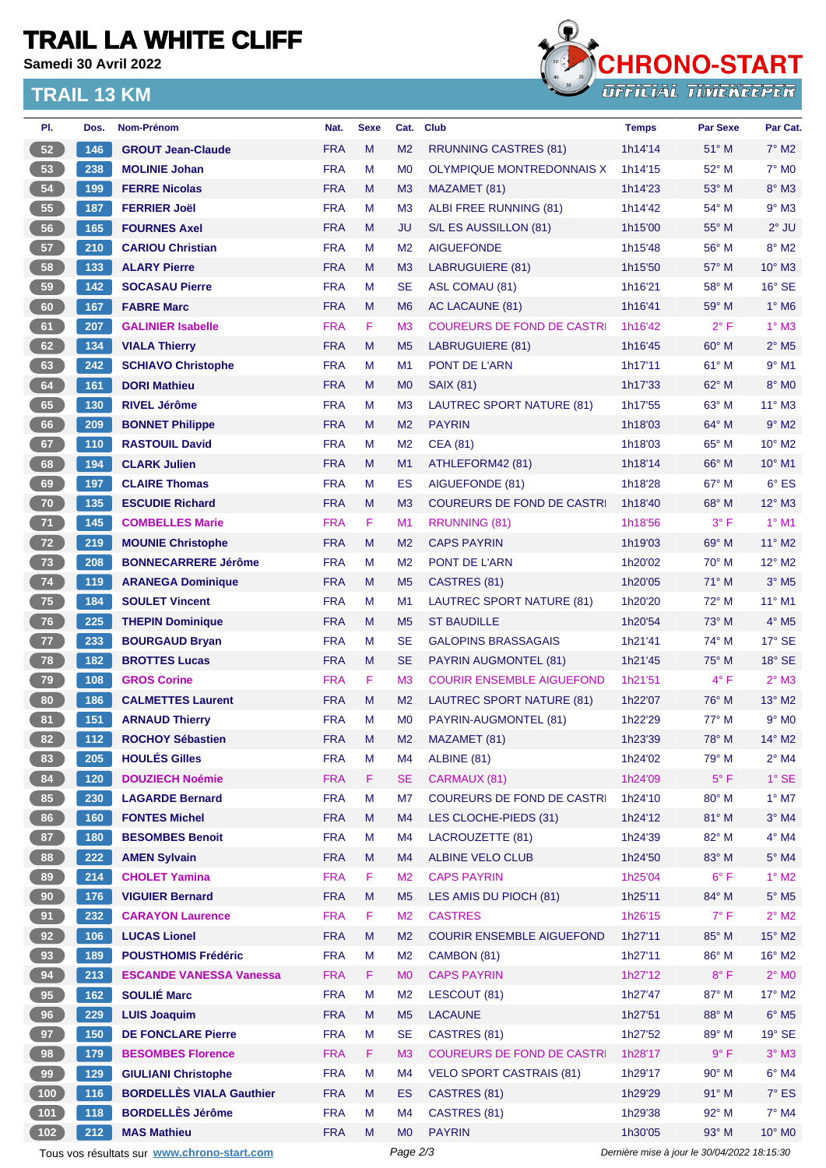# **TRAIL LA WHITE CLIFF**

**Samedi 30 Avril 2022**

### **TRAIL 13 KM**



| PI.   | Dos. | <b>Nom-Prénom</b>                           | Nat.       | <b>Sexe</b> | Cat.           | <b>Club</b>                       | <b>Temps</b> | <b>Par Sexe</b>                             | Par Cat.                   |
|-------|------|---------------------------------------------|------------|-------------|----------------|-----------------------------------|--------------|---------------------------------------------|----------------------------|
| 52    | 146  | <b>GROUT Jean-Claude</b>                    | <b>FRA</b> | M           | M <sub>2</sub> | <b>RRUNNING CASTRES (81)</b>      | 1h14'14      | 51° M                                       | $7^\circ$ M2               |
| 53    | 238  | <b>MOLINIE Johan</b>                        | <b>FRA</b> | M           | M <sub>0</sub> | OLYMPIQUE MONTREDONNAIS X         | 1h14'15      | 52° M                                       | $7^\circ$ M <sub>0</sub>   |
| 54    | 199  | <b>FERRE Nicolas</b>                        | <b>FRA</b> | M           | M <sub>3</sub> | MAZAMET (81)                      | 1h14'23      | $53^\circ$ M                                | $8^\circ$ M3               |
| 55    | 187  | <b>FERRIER Joël</b>                         | <b>FRA</b> | м           | M <sub>3</sub> | ALBI FREE RUNNING (81)            | 1h14'42      | 54° M                                       | $9°$ M3                    |
| 56    | 165  | <b>FOURNES Axel</b>                         | <b>FRA</b> | M           | <b>JU</b>      | S/L ES AUSSILLON (81)             | 1h15'00      | $55^{\circ}$ M                              | $2^{\circ}$ JU             |
| 57    | 210  | <b>CARIOU Christian</b>                     | <b>FRA</b> | M           | M <sub>2</sub> | <b>AIGUEFONDE</b>                 | 1h15'48      | 56° M                                       | $8^\circ$ M2               |
| 58    | 133  | <b>ALARY Pierre</b>                         | <b>FRA</b> | M           | M <sub>3</sub> | LABRUGUIERE (81)                  | 1h15'50      | $57^\circ$ M                                | $10^{\circ}$ M3            |
| 59    | 142  | <b>SOCASAU Pierre</b>                       | <b>FRA</b> | м           | <b>SE</b>      | <b>ASL COMAU (81)</b>             | 1h16'21      | 58° M                                       | $16^\circ$ SE              |
| 60    | 167  | <b>FABRE Marc</b>                           | <b>FRA</b> | M           | M <sub>6</sub> | AC LACAUNE (81)                   | 1h16'41      | 59° M                                       | $1^\circ$ M6               |
| 61    | 207  | <b>GALINIER Isabelle</b>                    | <b>FRA</b> | F           | M <sub>3</sub> | <b>COUREURS DE FOND DE CASTRI</b> | 1h16'42      | $2^{\circ}$ F                               | $1^\circ$ M3               |
| 62    | 134  | <b>VIALA Thierry</b>                        | <b>FRA</b> | M           | M <sub>5</sub> | LABRUGUIERE (81)                  | 1h16'45      | 60° M                                       | $2^{\circ}$ M <sub>5</sub> |
| 63    | 242  | <b>SCHIAVO Christophe</b>                   | <b>FRA</b> | M           | M1             | PONT DE L'ARN                     | 1h17'11      | $61^\circ$ M                                | $9°$ M1                    |
| 64    | 161  | <b>DORI Mathieu</b>                         | <b>FRA</b> | M           | M <sub>0</sub> | <b>SAIX (81)</b>                  | 1h17'33      | 62° M                                       | 8° MO                      |
| 65    | 130  | <b>RIVEL Jérôme</b>                         | <b>FRA</b> | M           | M <sub>3</sub> | LAUTREC SPORT NATURE (81)         | 1h17'55      | $63^\circ$ M                                | $11^{\circ}$ M3            |
| 66    | 209  | <b>BONNET Philippe</b>                      | <b>FRA</b> | M           | M <sub>2</sub> | <b>PAYRIN</b>                     | 1h18'03      | 64° M                                       | $9°$ M2                    |
| 67    | 110  | <b>RASTOUIL David</b>                       | <b>FRA</b> | M           | M <sub>2</sub> | <b>CEA (81)</b>                   | 1h18'03      | $65^{\circ}$ M                              | 10° M2                     |
| 68    | 194  | <b>CLARK Julien</b>                         | <b>FRA</b> | M           | M1             | ATHLEFORM42 (81)                  | 1h18'14      | $66^{\circ}$ M                              | 10° M1                     |
| 69    | 197  | <b>CLAIRE Thomas</b>                        | <b>FRA</b> | м           | ES             | AIGUEFONDE (81)                   | 1h18'28      | 67° M                                       | $6^{\circ}$ ES             |
| 70    | 135  | <b>ESCUDIE Richard</b>                      | <b>FRA</b> | M           | M <sub>3</sub> | <b>COUREURS DE FOND DE CASTR</b>  | 1h18'40      | 68° M                                       | $12^{\circ}$ M3            |
| 71    | 145  | <b>COMBELLES Marie</b>                      | <b>FRA</b> | F           | M <sub>1</sub> | RRUNNING (81)                     | 1h18'56      | $3^{\circ}$ F                               | $1°$ M1                    |
| $72$  | 219  | <b>MOUNIE Christophe</b>                    | <b>FRA</b> | M           | M <sub>2</sub> | <b>CAPS PAYRIN</b>                | 1h19'03      | $69^\circ$ M                                | 11° M2                     |
| 73    | 208  | <b>BONNECARRERE Jérôme</b>                  | <b>FRA</b> | M           | M <sub>2</sub> | PONT DE L'ARN                     | 1h20'02      | $70^\circ$ M                                | 12° M2                     |
| 74    |      |                                             |            | M           |                |                                   |              |                                             |                            |
|       | 119  | <b>ARANEGA Dominique</b>                    | <b>FRA</b> |             | M <sub>5</sub> | CASTRES (81)                      | 1h20'05      | $71^\circ$ M                                | $3°$ M <sub>5</sub>        |
| 75    | 184  | <b>SOULET Vincent</b>                       | <b>FRA</b> | M           | M1             | LAUTREC SPORT NATURE (81)         | 1h20'20      | 72° M                                       | 11° M1                     |
| 76    | 225  | <b>THEPIN Dominique</b>                     | <b>FRA</b> | M           | M <sub>5</sub> | <b>ST BAUDILLE</b>                | 1h20'54      | 73° M                                       | $4^\circ$ M <sub>5</sub>   |
| 77    | 233  | <b>BOURGAUD Bryan</b>                       | <b>FRA</b> | M           | <b>SE</b>      | <b>GALOPINS BRASSAGAIS</b>        | 1h21'41      | 74° M                                       | $17^\circ$ SE              |
| 78    | 182  | <b>BROTTES Lucas</b>                        | <b>FRA</b> | M           | <b>SE</b>      | <b>PAYRIN AUGMONTEL (81)</b>      | 1h21'45      | $75^\circ$ M                                | $18°$ SE                   |
| 79    | 108  | <b>GROS Corine</b>                          | <b>FRA</b> | F           | M <sub>3</sub> | <b>COURIR ENSEMBLE AIGUEFOND</b>  | 1h21'51      | $4^{\circ}$ F                               | $2^{\circ}$ M3             |
| 80    | 186  | <b>CALMETTES Laurent</b>                    | <b>FRA</b> | M           | M <sub>2</sub> | LAUTREC SPORT NATURE (81)         | 1h22'07      | 76° M                                       | 13° M2                     |
| 81    | 151  | <b>ARNAUD Thierry</b>                       | <b>FRA</b> | M           | M <sub>0</sub> | PAYRIN-AUGMONTEL (81)             | 1h22'29      | $77^\circ$ M                                | $9°$ M <sub>0</sub>        |
| 82    | 112  | <b>ROCHOY Sébastien</b>                     | <b>FRA</b> | M           | M <sub>2</sub> | MAZAMET (81)                      | 1h23'39      | 78° M                                       | $14^{\circ}$ M2            |
| 83    | 205  | <b>HOULÉS Gilles</b>                        | <b>FRA</b> | M           | M4             | ALBINE (81)                       | 1h24'02      | 79° M                                       | $2^{\circ}$ M4             |
| 84    | 120  | <b>DOUZIECH Noémie</b>                      | <b>FRA</b> | F           | <b>SE</b>      | CARMAUX (81)                      | 1h24'09      | $5^{\circ}$ F                               | $1^\circ$ SE               |
| 85    | 230  | <b>LAGARDE Bernard</b>                      | <b>FRA</b> | M           | M7             | <b>COUREURS DE FOND DE CASTRI</b> | 1h24'10      | 80° M                                       | $1^\circ$ M7               |
| 86    | 160  | <b>FONTES Michel</b>                        | <b>FRA</b> | M           | M <sub>4</sub> | LES CLOCHE-PIEDS (31)             | 1h24'12      | 81° M                                       | $3°$ M4                    |
| 87    | 180  | <b>BESOMBES Benoit</b>                      | <b>FRA</b> | M           | M <sub>4</sub> | LACROUZETTE (81)                  | 1h24'39      | 82° M                                       | $4^\circ$ M4               |
| 88    | 222  | <b>AMEN Sylvain</b>                         | <b>FRA</b> | M           | M4             | <b>ALBINE VELO CLUB</b>           | 1h24'50      | 83° M                                       | $5^\circ$ M4               |
| 89    | 214  | <b>CHOLET Yamina</b>                        | <b>FRA</b> | F           | M <sub>2</sub> | <b>CAPS PAYRIN</b>                | 1h25'04      | $6^{\circ}$ F                               | $1^\circ$ M2               |
| 90    | 176  | <b>VIGUIER Bernard</b>                      | <b>FRA</b> | M           | M <sub>5</sub> | LES AMIS DU PIOCH (81)            | 1h25'11      | 84° M                                       | $5^\circ$ M5               |
| 91    | 232  | <b>CARAYON Laurence</b>                     | <b>FRA</b> | F           | M <sub>2</sub> | <b>CASTRES</b>                    | 1h26'15      | $7^\circ$ F                                 | $2^{\circ}$ M2             |
| 92    | 106  | <b>LUCAS Lionel</b>                         | <b>FRA</b> | M           | M <sub>2</sub> | <b>COURIR ENSEMBLE AIGUEFOND</b>  | 1h27'11      | 85° M                                       | 15° M2                     |
| 93    | 189  | <b>POUSTHOMIS Frédéric</b>                  | <b>FRA</b> | M           | M <sub>2</sub> | CAMBON (81)                       | 1h27'11      | 86° M                                       | 16° M2                     |
| 94    | 213  | <b>ESCANDE VANESSA Vanessa</b>              | <b>FRA</b> | F.          | M <sub>0</sub> | <b>CAPS PAYRIN</b>                | 1h27'12      | $8^{\circ}$ F                               | $2^{\circ}$ MO             |
| 95    | 162  | <b>SOULIÉ Marc</b>                          | <b>FRA</b> | M           | M <sub>2</sub> | LESCOUT (81)                      | 1h27'47      | 87° M                                       | 17° M2                     |
| 96    | 229  | <b>LUIS Joaquim</b>                         | <b>FRA</b> | M           | M <sub>5</sub> | <b>LACAUNE</b>                    | 1h27'51      | 88° M                                       | $6^\circ$ M5               |
| 97    | 150  | <b>DE FONCLARE Pierre</b>                   | <b>FRA</b> | M           | <b>SE</b>      | CASTRES (81)                      | 1h27'52      | 89° M                                       | $19°$ SE                   |
| 98    | 179  | <b>BESOMBES Florence</b>                    | <b>FRA</b> | F.          | M <sub>3</sub> | <b>COUREURS DE FOND DE CASTR</b>  | 1h28'17      | $9^{\circ}$ F                               | $3°$ M3                    |
| 99    | 129  | <b>GIULIANI Christophe</b>                  | <b>FRA</b> | M           | M4             | <b>VELO SPORT CASTRAIS (81)</b>   | 1h29'17      | 90° M                                       | $6^\circ$ M4               |
| (100) | 116  | <b>BORDELLÈS VIALA Gauthier</b>             | <b>FRA</b> | M           | ES             | CASTRES (81)                      | 1h29'29      | 91° M                                       | $7^\circ$ ES               |
| (101) | 118  | <b>BORDELLÈS Jérôme</b>                     | <b>FRA</b> | M           | M4             | CASTRES (81)                      | 1h29'38      | 92° M                                       | $7^\circ$ M4               |
| 102   | 212  | <b>MAS Mathieu</b>                          | <b>FRA</b> | M           | M <sub>0</sub> | <b>PAYRIN</b>                     | 1h30'05      | 93° M                                       | 10° MO                     |
|       |      | Tous vos résultats sur www.chrono-start.com |            |             | Page 2/3       |                                   |              | Dernière mise à jour le 30/04/2022 18:15:30 |                            |